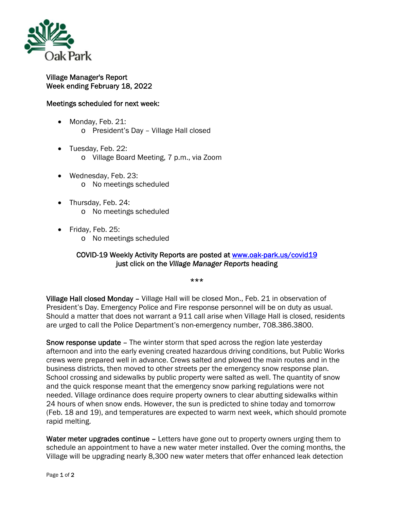

## Village Manager's Report Week ending February 18, 2022

## Meetings scheduled for next week:

- Monday, Feb. 21: o President's Day – Village Hall closed
- Tuesday, Feb. 22: o Village Board Meeting, 7 p.m., via Zoom
- Wednesday, Feb. 23: o No meetings scheduled
- Thursday, Feb. 24: o No meetings scheduled
- Friday, Feb. 25:
	- o No meetings scheduled

## COVID-19 Weekly Activity Reports are posted at www.oak-park.us/covid19 just click on the *Village Manager Reports* heading

\*\*\*

Village Hall closed Monday – Village Hall will be closed Mon., Feb. 21 in observation of President's Day. Emergency Police and Fire response personnel will be on duty as usual. Should a matter that does not warrant a 911 call arise when Village Hall is closed, residents are urged to call the Police Department's non-emergency number, 708.386.3800.

Snow response update – The winter storm that sped across the region late yesterday afternoon and into the early evening created hazardous driving conditions, but Public Works crews were prepared well in advance. Crews salted and plowed the main routes and in the business districts, then moved to other streets per the emergency snow response plan. School crossing and sidewalks by public property were salted as well. The quantity of snow and the quick response meant that the emergency snow parking regulations were not needed. Village ordinance does require property owners to clear abutting sidewalks within 24 hours of when snow ends. However, the sun is predicted to shine today and tomorrow (Feb. 18 and 19), and temperatures are expected to warm next week, which should promote rapid melting.

Water meter upgrades continue - Letters have gone out to property owners urging them to schedule an appointment to have a new water meter installed. Over the coming months, the Village will be upgrading nearly 8,300 new water meters that offer enhanced leak detection